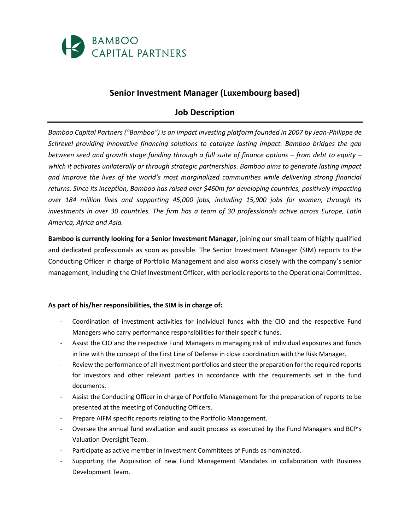

## **Senior Investment Manager (Luxembourg based)**

## **Job Description**

*Bamboo Capital Partners ("Bamboo") is an impact investing platform founded in 2007 by Jean-Philippe de Schrevel providing innovative financing solutions to catalyze lasting impact. Bamboo bridges the gap between seed and growth stage funding through a full suite of finance options – from debt to equity – which it activates unilaterally or through strategic partnerships. Bamboo aims to generate lasting impact and improve the lives of the world's most marginalized communities while delivering strong financial returns. Since its inception, Bamboo has raised over \$460m for developing countries, positively impacting over 184 million lives and supporting 45,000 jobs, including 15,900 jobs for women, through its investments in over 30 countries. The firm has a team of 30 professionals active across Europe, Latin America, Africa and Asia.*

**Bamboo is currently looking for a Senior Investment Manager,** joining our small team of highly qualified and dedicated professionals as soon as possible. The Senior Investment Manager (SIM) reports to the Conducting Officer in charge of Portfolio Management and also works closely with the company's senior management, including the Chief Investment Officer, with periodic reports to the Operational Committee.

## **As part of his/her responsibilities, the SIM is in charge of:**

- Coordination of investment activities for individual funds with the CIO and the respective Fund Managers who carry performance responsibilities for their specific funds.
- Assist the CIO and the respective Fund Managers in managing risk of individual exposures and funds in line with the concept of the First Line of Defense in close coordination with the Risk Manager.
- Review the performance of all investment portfolios and steer the preparation for the required reports for investors and other relevant parties in accordance with the requirements set in the fund documents.
- Assist the Conducting Officer in charge of Portfolio Management for the preparation of reports to be presented at the meeting of Conducting Officers.
- Prepare AIFM specific reports relating to the Portfolio Management.
- Oversee the annual fund evaluation and audit process as executed by the Fund Managers and BCP's Valuation Oversight Team.
- Participate as active member in Investment Committees of Funds as nominated.
- Supporting the Acquisition of new Fund Management Mandates in collaboration with Business Development Team.